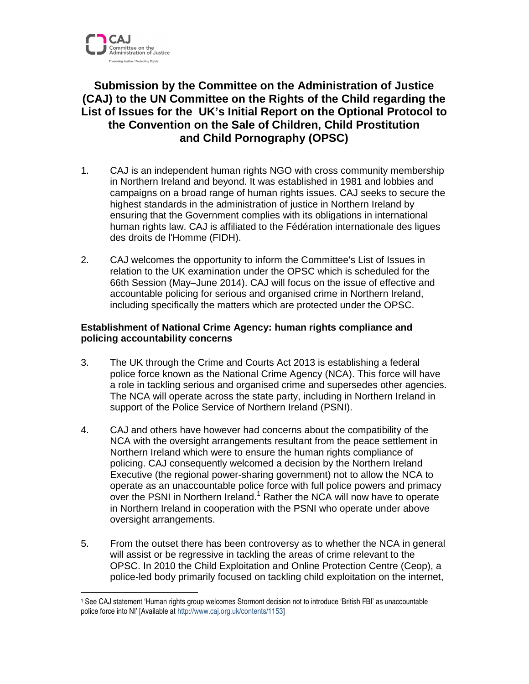

 $\overline{a}$ 

## **Submission by the Committee on the Administration of Justice (CAJ) to the UN Committee on the Rights of the Child regarding the List of Issues for the UK's Initial Report on the Optional Protocol to the Convention on the Sale of Children, Child Prostitution and Child Pornography (OPSC)**

- 1. CAJ is an independent human rights NGO with cross community membership in Northern Ireland and beyond. It was established in 1981 and lobbies and campaigns on a broad range of human rights issues. CAJ seeks to secure the highest standards in the administration of justice in Northern Ireland by ensuring that the Government complies with its obligations in international human rights law. CAJ is affiliated to the Fédération internationale des ligues des droits de l'Homme (FIDH).
- 2. CAJ welcomes the opportunity to inform the Committee's List of Issues in relation to the UK examination under the OPSC which is scheduled for the 66th Session (May–June 2014). CAJ will focus on the issue of effective and accountable policing for serious and organised crime in Northern Ireland, including specifically the matters which are protected under the OPSC.

## **Establishment of National Crime Agency: human rights compliance and policing accountability concerns**

- 3. The UK through the Crime and Courts Act 2013 is establishing a federal police force known as the National Crime Agency (NCA). This force will have a role in tackling serious and organised crime and supersedes other agencies. The NCA will operate across the state party, including in Northern Ireland in support of the Police Service of Northern Ireland (PSNI).
- 4. CAJ and others have however had concerns about the compatibility of the NCA with the oversight arrangements resultant from the peace settlement in Northern Ireland which were to ensure the human rights compliance of policing. CAJ consequently welcomed a decision by the Northern Ireland Executive (the regional power-sharing government) not to allow the NCA to operate as an unaccountable police force with full police powers and primacy over the PSNI in Northern Ireland.<sup>1</sup> Rather the NCA will now have to operate in Northern Ireland in cooperation with the PSNI who operate under above oversight arrangements.
- 5. From the outset there has been controversy as to whether the NCA in general will assist or be regressive in tackling the areas of crime relevant to the OPSC. In 2010 the Child Exploitation and Online Protection Centre (Ceop), a police-led body primarily focused on tackling child exploitation on the internet,

<sup>1</sup> See CAJ statement 'Human rights group welcomes Stormont decision not to introduce 'British FBI' as unaccountable police force into NI' [Available at http://www.caj.org.uk/contents/1153]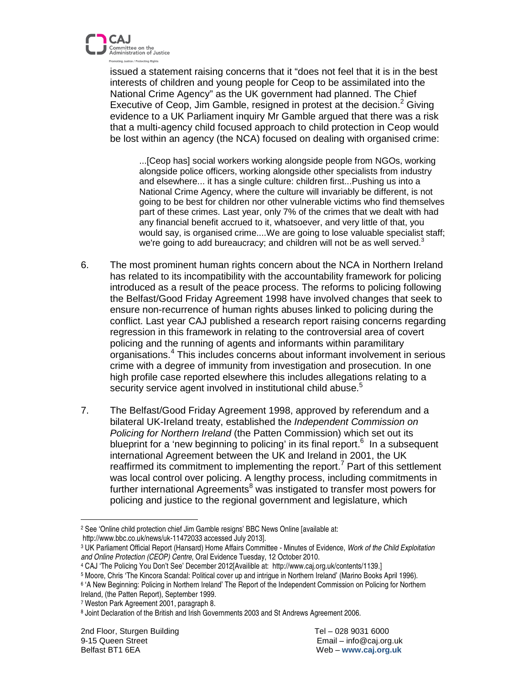

issued a statement raising concerns that it "does not feel that it is in the best interests of children and young people for Ceop to be assimilated into the National Crime Agency" as the UK government had planned. The Chief Executive of Ceop, Jim Gamble, resigned in protest at the decision.<sup>2</sup> Giving evidence to a UK Parliament inquiry Mr Gamble argued that there was a risk that a multi-agency child focused approach to child protection in Ceop would be lost within an agency (the NCA) focused on dealing with organised crime:

...[Ceop has] social workers working alongside people from NGOs, working alongside police officers, working alongside other specialists from industry and elsewhere... it has a single culture: children first...Pushing us into a National Crime Agency, where the culture will invariably be different, is not going to be best for children nor other vulnerable victims who find themselves part of these crimes. Last year, only 7% of the crimes that we dealt with had any financial benefit accrued to it, whatsoever, and very little of that, you would say, is organised crime....We are going to lose valuable specialist staff; we're going to add bureaucracy; and children will not be as well served. $3$ 

- 6. The most prominent human rights concern about the NCA in Northern Ireland has related to its incompatibility with the accountability framework for policing introduced as a result of the peace process. The reforms to policing following the Belfast/Good Friday Agreement 1998 have involved changes that seek to ensure non-recurrence of human rights abuses linked to policing during the conflict. Last year CAJ published a research report raising concerns regarding regression in this framework in relating to the controversial area of covert policing and the running of agents and informants within paramilitary organisations.<sup>4</sup> This includes concerns about informant involvement in serious crime with a degree of immunity from investigation and prosecution. In one high profile case reported elsewhere this includes allegations relating to a security service agent involved in institutional child abuse.<sup>5</sup>
- 7. The Belfast/Good Friday Agreement 1998, approved by referendum and a bilateral UK-Ireland treaty, established the Independent Commission on Policing for Northern Ireland (the Patten Commission) which set out its blueprint for a 'new beginning to policing' in its final report.<sup>6</sup> In a subsequent international Agreement between the UK and Ireland in 2001, the UK reaffirmed its commitment to implementing the report.<sup>7</sup> Part of this settlement was local control over policing. A lengthy process, including commitments in further international Agreements<sup>8</sup> was instigated to transfer most powers for policing and justice to the regional government and legislature, which

 $\overline{a}$ 

<sup>2</sup> See 'Online child protection chief Jim Gamble resigns' BBC News Online [available at: http://www.bbc.co.uk/news/uk-11472033 accessed July 2013].

<sup>&</sup>lt;sup>3</sup> UK Parliament Official Report (Hansard) Home Affairs Committee - Minutes of Evidence, *Work of the Child Exploitation* and Online Protection (CEOP) Centre, Oral Evidence Tuesday, 12 October 2010.

<sup>4</sup> CAJ 'The Policing You Don't See' December 2012[Availible at: http://www.caj.org.uk/contents/1139.]

<sup>5</sup> Moore, Chris 'The Kincora Scandal: Political cover up and intrigue in Northern Ireland' (Marino Books April 1996).

<sup>6</sup> 'A New Beginning: Policing in Northern Ireland' The Report of the Independent Commission on Policing for Northern Ireland, (the Patten Report), September 1999.

<sup>7</sup> Weston Park Agreement 2001, paragraph 8.

<sup>&</sup>lt;sup>8</sup> Joint Declaration of the British and Irish Governments 2003 and St Andrews Agreement 2006.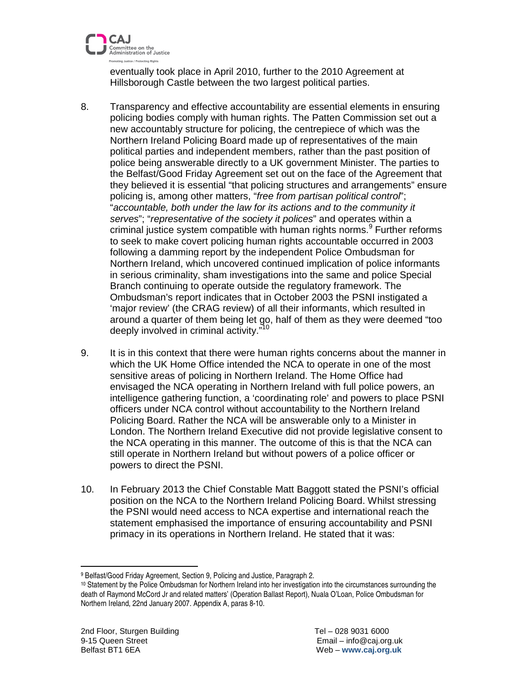

eventually took place in April 2010, further to the 2010 Agreement at Hillsborough Castle between the two largest political parties.

- 8. Transparency and effective accountability are essential elements in ensuring policing bodies comply with human rights. The Patten Commission set out a new accountably structure for policing, the centrepiece of which was the Northern Ireland Policing Board made up of representatives of the main political parties and independent members, rather than the past position of police being answerable directly to a UK government Minister. The parties to the Belfast/Good Friday Agreement set out on the face of the Agreement that they believed it is essential "that policing structures and arrangements" ensure policing is, among other matters, "free from partisan political control"; "accountable, both under the law for its actions and to the community it serves"; "representative of the society it polices" and operates within a criminal justice system compatible with human rights norms.<sup>9</sup> Further reforms to seek to make covert policing human rights accountable occurred in 2003 following a damming report by the independent Police Ombudsman for Northern Ireland, which uncovered continued implication of police informants in serious criminality, sham investigations into the same and police Special Branch continuing to operate outside the regulatory framework. The Ombudsman's report indicates that in October 2003 the PSNI instigated a 'major review' (the CRAG review) of all their informants, which resulted in around a quarter of them being let go, half of them as they were deemed "too deeply involved in criminal activity."<sup>10</sup>
- 9. It is in this context that there were human rights concerns about the manner in which the UK Home Office intended the NCA to operate in one of the most sensitive areas of policing in Northern Ireland. The Home Office had envisaged the NCA operating in Northern Ireland with full police powers, an intelligence gathering function, a 'coordinating role' and powers to place PSNI officers under NCA control without accountability to the Northern Ireland Policing Board. Rather the NCA will be answerable only to a Minister in London. The Northern Ireland Executive did not provide legislative consent to the NCA operating in this manner. The outcome of this is that the NCA can still operate in Northern Ireland but without powers of a police officer or powers to direct the PSNI.
- 10. In February 2013 the Chief Constable Matt Baggott stated the PSNI's official position on the NCA to the Northern Ireland Policing Board. Whilst stressing the PSNI would need access to NCA expertise and international reach the statement emphasised the importance of ensuring accountability and PSNI primacy in its operations in Northern Ireland. He stated that it was:

 $\overline{a}$ 

<sup>9</sup> Belfast/Good Friday Agreement, Section 9, Policing and Justice, Paragraph 2.

<sup>10</sup> Statement by the Police Ombudsman for Northern Ireland into her investigation into the circumstances surrounding the death of Raymond McCord Jr and related matters' (Operation Ballast Report), Nuala O'Loan, Police Ombudsman for Northern Ireland, 22nd January 2007. Appendix A, paras 8-10.